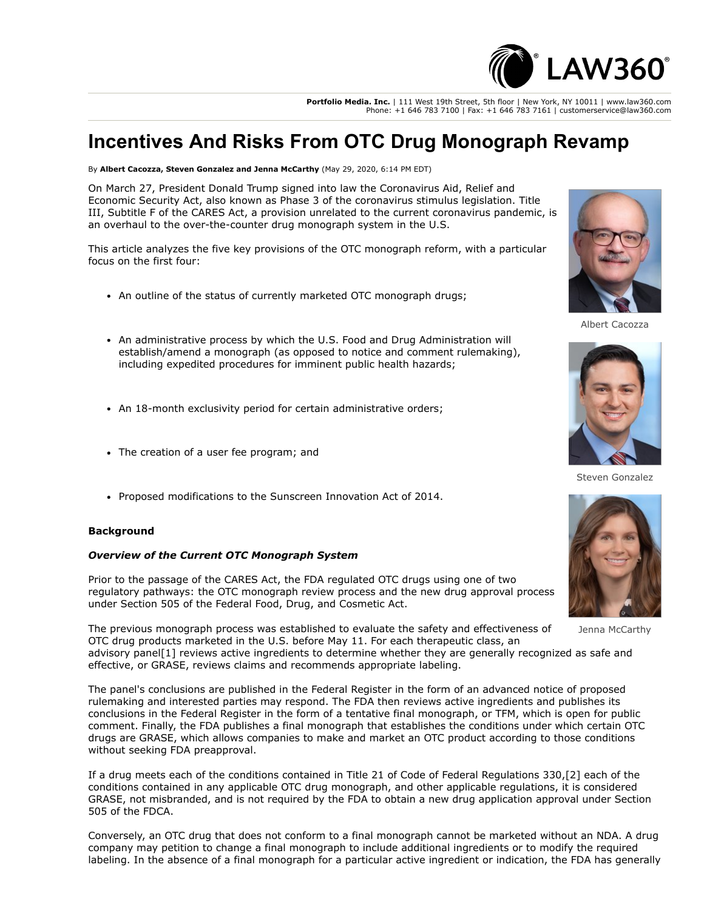

**Portfolio Media. Inc.** | 111 West 19th Street, 5th floor | New York, NY 10011 | www.law360.com Phone: +1 646 783 7100 | Fax: +1 646 783 7161 | customerservice@law360.com

# **Incentives And Risks From OTC Drug Monograph Revamp**

By **Albert Cacozza, Steven Gonzalez and Jenna McCarthy** (May 29, 2020, 6:14 PM EDT)

On March 27, President Donald Trump signed into law the Coronavirus Aid, Relief and Economic Security Act, also known as Phase 3 of the coronavirus stimulus legislation. Title III, Subtitle F of the CARES Act, a provision unrelated to the current coronavirus pandemic, is an overhaul to the over-the-counter drug monograph system in the U.S.

This article analyzes the five key provisions of the OTC monograph reform, with a particular focus on the first four:

- An outline of the status of currently marketed OTC monograph drugs;
- An administrative process by which the [U.S. Food and Drug Administration](https://www.law360.com/agencies/food-and-drug-administration) will establish/amend a monograph (as opposed to notice and comment rulemaking), including expedited procedures for imminent public health hazards;
- An 18-month exclusivity period for certain administrative orders;
- The creation of a user fee program; and
- Proposed modifications to the Sunscreen Innovation Act of 2014.

#### **Background**

#### *Overview of the Current OTC Monograph System*

Prior to the passage of the CARES Act, the FDA regulated OTC drugs using one of two regulatory pathways: the OTC monograph review process and the new drug approval process under Section 505 of the Federal Food, Drug, and Cosmetic Act.

The previous monograph process was established to evaluate the safety and effectiveness of OTC drug products marketed in the U.S. before May 11. For each therapeutic class, an

advisory panel[1] reviews active ingredients to determine whether they are generally recognized as safe and effective, or GRASE, reviews claims and recommends appropriate labeling.

The panel's conclusions are published in the Federal Register in the form of an advanced notice of proposed rulemaking and interested parties may respond. The FDA then reviews active ingredients and publishes its conclusions in the Federal Register in the form of a tentative final monograph, or TFM, which is open for public comment. Finally, the FDA publishes a final monograph that establishes the conditions under which certain OTC drugs are GRASE, which allows companies to make and market an OTC product according to those conditions without seeking FDA preapproval.

If a drug meets each of the conditions contained in Title 21 of Code of Federal Regulations 330,[2] each of the conditions contained in any applicable OTC drug monograph, and other applicable regulations, it is considered GRASE, not misbranded, and is not required by the FDA to obtain a new drug application approval under Section 505 of the FDCA.

Conversely, an OTC drug that does not conform to a final monograph cannot be marketed without an NDA. A drug company may petition to change a final monograph to include additional ingredients or to modify the required labeling. In the absence of a final monograph for a particular active ingredient or indication, the FDA has generally



Albert Cacozza



Steven Gonzalez



Jenna McCarthy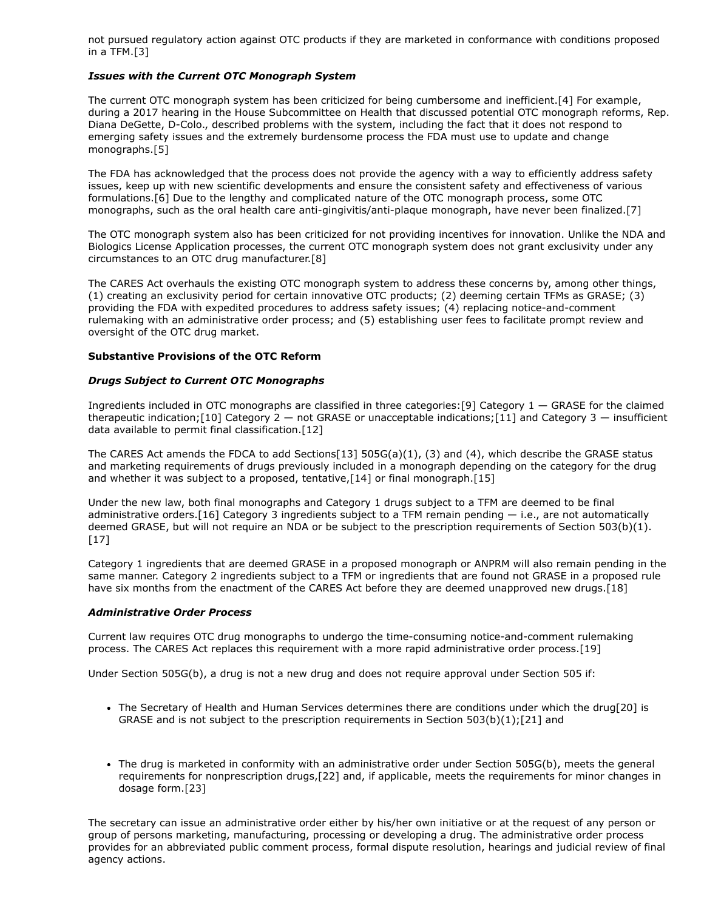not pursued regulatory action against OTC products if they are marketed in conformance with conditions proposed in a TFM.[3]

#### *Issues with the Current OTC Monograph System*

The current OTC monograph system has been criticized for being cumbersome and inefficient.[4] For example, during a 2017 hearing in the House Subcommittee on Health that discussed potential OTC monograph reforms, Rep. Diana DeGette, D-Colo., described problems with the system, including the fact that it does not respond to emerging safety issues and the extremely burdensome process the FDA must use to update and change monographs.[5]

The FDA has acknowledged that the process does not provide the agency with a way to efficiently address safety issues, keep up with new scientific developments and ensure the consistent safety and effectiveness of various formulations.[6] Due to the lengthy and complicated nature of the OTC monograph process, some OTC monographs, such as the oral health care anti-gingivitis/anti-plaque monograph, have never been finalized.[7]

The OTC monograph system also has been criticized for not providing incentives for innovation. Unlike the NDA and Biologics License Application processes, the current OTC monograph system does not grant exclusivity under any circumstances to an OTC drug manufacturer.[8]

The CARES Act overhauls the existing OTC monograph system to address these concerns by, among other things, (1) creating an exclusivity period for certain innovative OTC products; (2) deeming certain TFMs as GRASE; (3) providing the FDA with expedited procedures to address safety issues; (4) replacing notice-and-comment rulemaking with an administrative order process; and (5) establishing user fees to facilitate prompt review and oversight of the OTC drug market.

## **Substantive Provisions of the OTC Reform**

#### *Drugs Subject to Current OTC Monographs*

Ingredients included in OTC monographs are classified in three categories:[9] Category 1 — GRASE for the claimed therapeutic indication;[10] Category 2 — not GRASE or unacceptable indications;[11] and Category 3 — insufficient data available to permit final classification.[12]

The CARES Act amends the FDCA to add Sections[13] 505G(a)(1), (3) and (4), which describe the GRASE status and marketing requirements of drugs previously included in a monograph depending on the category for the drug and whether it was subject to a proposed, tentative,[14] or final monograph.[15]

Under the new law, both final monographs and Category 1 drugs subject to a TFM are deemed to be final administrative orders. [16] Category 3 ingredients subject to a TFM remain pending  $-$  i.e., are not automatically deemed GRASE, but will not require an NDA or be subject to the prescription requirements of Section 503(b)(1).  $[17]$ 

Category 1 ingredients that are deemed GRASE in a proposed monograph or ANPRM will also remain pending in the same manner. Category 2 ingredients subject to a TFM or ingredients that are found not GRASE in a proposed rule have six months from the enactment of the CARES Act before they are deemed unapproved new drugs.[18]

#### *Administrative Order Process*

Current law requires OTC drug monographs to undergo the time-consuming notice-and-comment rulemaking process. The CARES Act replaces this requirement with a more rapid administrative order process.[19]

Under Section 505G(b), a drug is not a new drug and does not require approval under Section 505 if:

- The Secretary of Health and Human Services determines there are conditions under which the drug[20] is GRASE and is not subject to the prescription requirements in Section  $503(b)(1)$ ;[21] and
- The drug is marketed in conformity with an administrative order under Section 505G(b), meets the general requirements for nonprescription drugs,[22] and, if applicable, meets the requirements for minor changes in dosage form.[23]

The secretary can issue an administrative order either by his/her own initiative or at the request of any person or group of persons marketing, manufacturing, processing or developing a drug. The administrative order process provides for an abbreviated public comment process, formal dispute resolution, hearings and judicial review of final agency actions.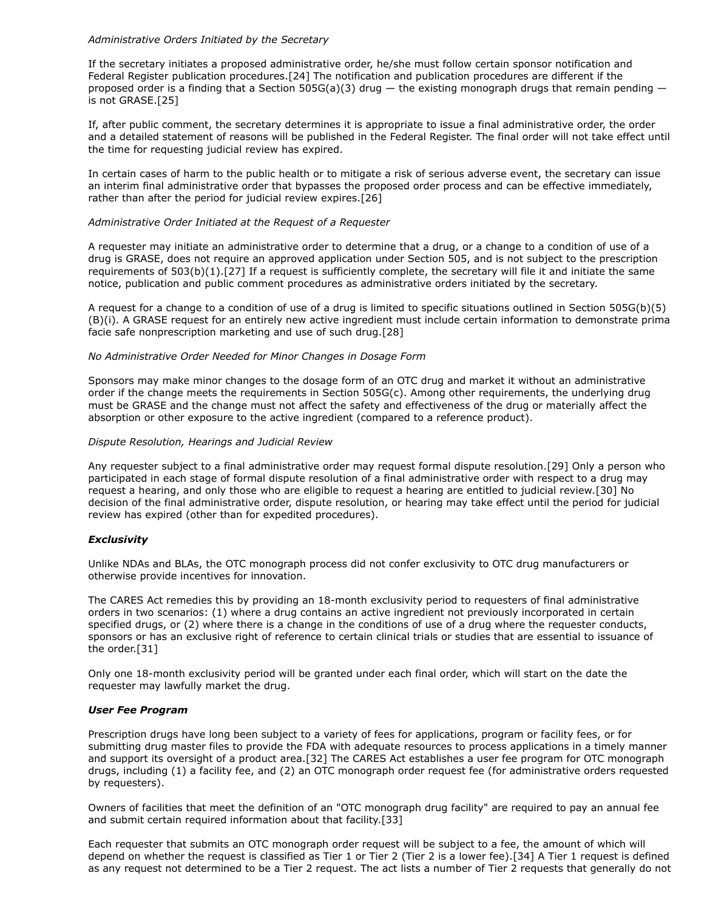#### *Administrative Orders Initiated by the Secretary*

If the secretary initiates a proposed administrative order, he/she must follow certain sponsor notification and Federal Register publication procedures.[24] The notification and publication procedures are different if the proposed order is a finding that a Section 505G(a)(3) drug — the existing monograph drugs that remain pending is not GRASE.[25]

If, after public comment, the secretary determines it is appropriate to issue a final administrative order, the order and a detailed statement of reasons will be published in the Federal Register. The final order will not take effect until the time for requesting judicial review has expired.

In certain cases of harm to the public health or to mitigate a risk of serious adverse event, the secretary can issue an interim final administrative order that bypasses the proposed order process and can be effective immediately, rather than after the period for judicial review expires.[26]

## *Administrative Order Initiated at the Request of a Requester*

A requester may initiate an administrative order to determine that a drug, or a change to a condition of use of a drug is GRASE, does not require an approved application under Section 505, and is not subject to the prescription requirements of 503(b)(1).[27] If a request is sufficiently complete, the secretary will file it and initiate the same notice, publication and public comment procedures as administrative orders initiated by the secretary.

A request for a change to a condition of use of a drug is limited to specific situations outlined in Section 505G(b)(5) (B)(i). A GRASE request for an entirely new active ingredient must include certain information to demonstrate prima facie safe nonprescription marketing and use of such drug.[28]

## *No Administrative Order Needed for Minor Changes in Dosage Form*

Sponsors may make minor changes to the dosage form of an OTC drug and market it without an administrative order if the change meets the requirements in Section 505G(c). Among other requirements, the underlying drug must be GRASE and the change must not affect the safety and effectiveness of the drug or materially affect the absorption or other exposure to the active ingredient (compared to a reference product).

## *Dispute Resolution, Hearings and Judicial Review*

Any requester subject to a final administrative order may request formal dispute resolution.[29] Only a person who participated in each stage of formal dispute resolution of a final administrative order with respect to a drug may request a hearing, and only those who are eligible to request a hearing are entitled to judicial review.[30] No decision of the final administrative order, dispute resolution, or hearing may take effect until the period for judicial review has expired (other than for expedited procedures).

# *Exclusivity*

Unlike NDAs and BLAs, the OTC monograph process did not confer exclusivity to OTC drug manufacturers or otherwise provide incentives for innovation.

The CARES Act remedies this by providing an 18-month exclusivity period to requesters of final administrative orders in two scenarios: (1) where a drug contains an active ingredient not previously incorporated in certain specified drugs, or (2) where there is a change in the conditions of use of a drug where the requester conducts, sponsors or has an exclusive right of reference to certain clinical trials or studies that are essential to issuance of the order.[31]

Only one 18-month exclusivity period will be granted under each final order, which will start on the date the requester may lawfully market the drug.

## *User Fee Program*

Prescription drugs have long been subject to a variety of fees for applications, program or facility fees, or for submitting drug master files to provide the FDA with adequate resources to process applications in a timely manner and support its oversight of a product area.[32] The CARES Act establishes a user fee program for OTC monograph drugs, including (1) a facility fee, and (2) an OTC monograph order request fee (for administrative orders requested by requesters).

Owners of facilities that meet the definition of an "OTC monograph drug facility" are required to pay an annual fee and submit certain required information about that facility.[33]

Each requester that submits an OTC monograph order request will be subject to a fee, the amount of which will depend on whether the request is classified as Tier 1 or Tier 2 (Tier 2 is a lower fee).[34] A Tier 1 request is defined as any request not determined to be a Tier 2 request. The act lists a number of Tier 2 requests that generally do not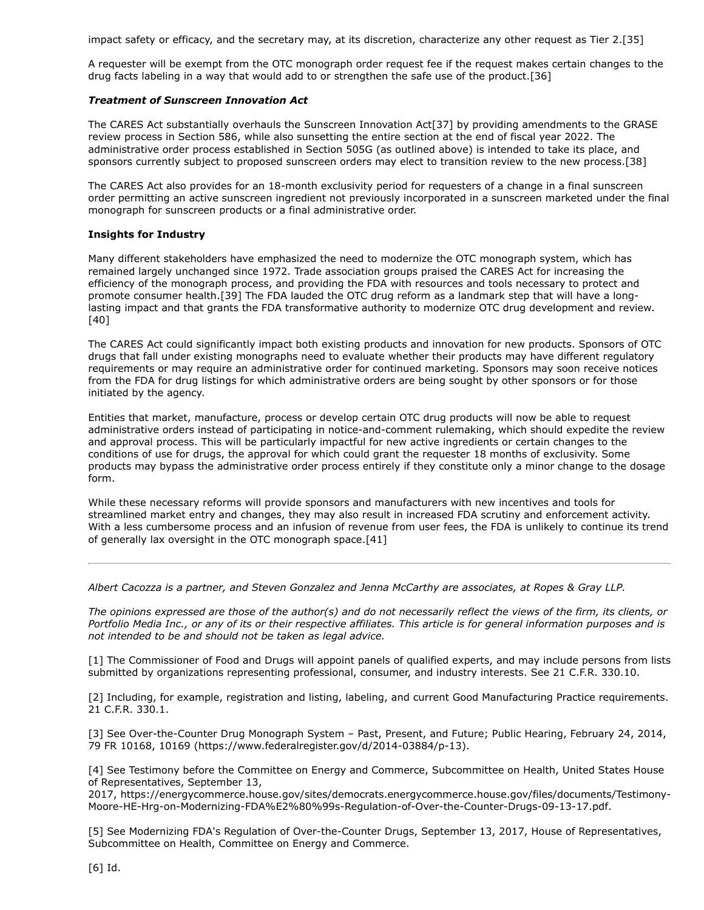impact safety or efficacy, and the secretary may, at its discretion, characterize any other request as Tier 2.[35]

A requester will be exempt from the OTC monograph order request fee if the request makes certain changes to the drug facts labeling in a way that would add to or strengthen the safe use of the product.[36]

## *Treatment of Sunscreen Innovation Act*

The CARES Act substantially overhauls the Sunscreen Innovation Act[37] by providing amendments to the GRASE review process in Section 586, while also sunsetting the entire section at the end of fiscal year 2022. The administrative order process established in Section 505G (as outlined above) is intended to take its place, and sponsors currently subject to proposed sunscreen orders may elect to transition review to the new process.[38]

The CARES Act also provides for an 18-month exclusivity period for requesters of a change in a final sunscreen order permitting an active sunscreen ingredient not previously incorporated in a sunscreen marketed under the final monograph for sunscreen products or a final administrative order.

# **Insights for Industry**

Many different stakeholders have emphasized the need to modernize the OTC monograph system, which has remained largely unchanged since 1972. Trade association groups praised the CARES Act for increasing the efficiency of the monograph process, and providing the FDA with resources and tools necessary to protect and promote consumer health.[39] The FDA lauded the OTC drug reform as a landmark step that will have a longlasting impact and that grants the FDA transformative authority to modernize OTC drug development and review. [40]

The CARES Act could significantly impact both existing products and innovation for new products. Sponsors of OTC drugs that fall under existing monographs need to evaluate whether their products may have different regulatory requirements or may require an administrative order for continued marketing. Sponsors may soon receive notices from the FDA for drug listings for which administrative orders are being sought by other sponsors or for those initiated by the agency.

Entities that market, manufacture, process or develop certain OTC drug products will now be able to request administrative orders instead of participating in notice-and-comment rulemaking, which should expedite the review and approval process. This will be particularly impactful for new active ingredients or certain changes to the conditions of use for drugs, the approval for which could grant the requester 18 months of exclusivity. Some products may bypass the administrative order process entirely if they constitute only a minor change to the dosage form.

While these necessary reforms will provide sponsors and manufacturers with new incentives and tools for streamlined market entry and changes, they may also result in increased FDA scrutiny and enforcement activity. With a less cumbersome process and an infusion of revenue from user fees, the FDA is unlikely to continue its trend of generally lax oversight in the OTC monograph space.[41]

*[Albert Cacozza](https://www.ropesgray.com/en/biographies/c/albert-f-cacozza-jr) is a partner, and [Steven Gonzalez](https://www.ropesgray.com/en/biographies/g/steven-gonzalez?AK=gonza) and [Jenna McCarthy](https://www.ropesgray.com/en/biographies/m/jenna-mccarthy?AK=mccarthy) are associates, at [Ropes & Gray LLP.](https://www.law360.com/firms/ropes-gray)*

*The opinions expressed are those of the author(s) and do not necessarily reflect the views of the firm, its clients, or Portfolio Media Inc., or any of its or their respective affiliates. This article is for general information purposes and is not intended to be and should not be taken as legal advice.*

[1] The Commissioner of Food and Drugs will appoint panels of qualified experts, and may include persons from lists submitted by organizations representing professional, consumer, and industry interests. See 21 C.F.R. 330.10.

[2] Including, for example, registration and listing, labeling, and current Good Manufacturing Practice requirements. 21 C.F.R. 330.1.

[3] See Over-the-Counter Drug Monograph System – Past, Present, and Future; Public Hearing, February 24, 2014, 79 FR 10168, 10169 ([https://www.federalregister.gov/d/2014-03884/p-13\)](https://www.federalregister.gov/d/2014-03884/p-13).

[4] See [Testimony before the C](https://www.law360.com/agencies/u-s-house-of-representatives)[ommittee on Energy and Commerce](https://www.law360.com/agencies/u-s-house-committee-on-energy-and-commerce)[, Subcommittee on Health, United States House](https://www.law360.com/agencies/u-s-house-of-representatives) of Representatives, September 13,

2017, [https://energycommerce.house.gov/sites/democrats.energycommerce.house.gov/files/documents/Testimony-](https://energycommerce.house.gov/sites/democrats.energycommerce.house.gov/files/documents/Testimony-Moore-HE-Hrg-on-Modernizing-FDA%E2%80%99s-Regulation-of-Over-the-Counter-Drugs-09-13-17.pdf)Moore-HE-Hrg-on-Modernizing-FDA%E2%80%99s-Regulation-of-Over-the-Counter-Drugs-09-13-17.pdf.

[5] See Modernizing FDA's Regulation of Over-the-Counter Drugs, September 13, 2017, House of Representatives, Subcommittee on Health, Committee on Energy and Commerce.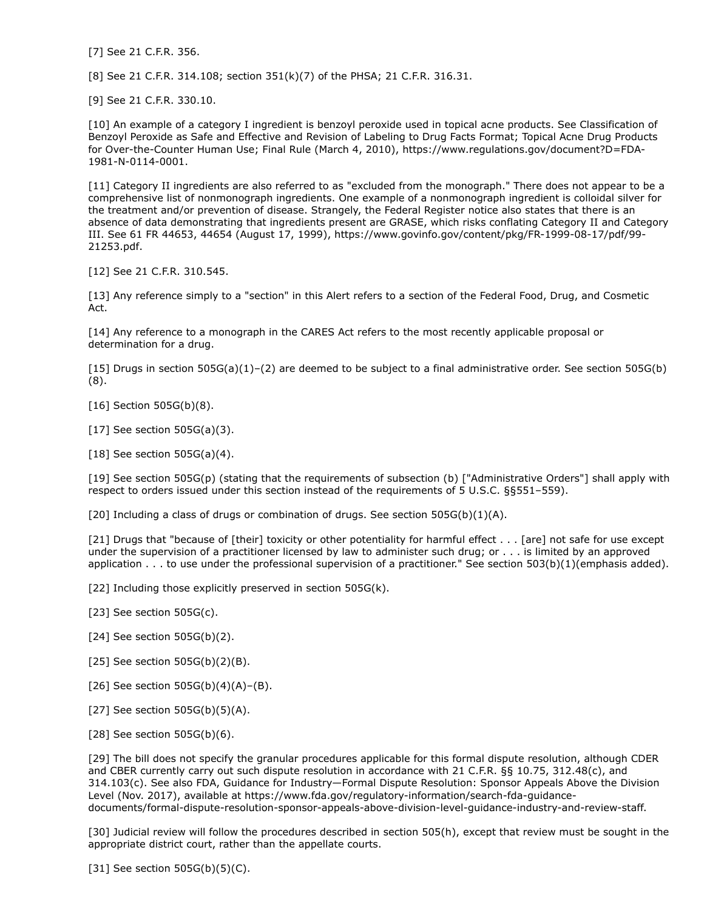[7] See 21 C.F.R. 356.

[8] See 21 C.F.R. 314.108; section 351(k)(7) of the PHSA; 21 C.F.R. 316.31.

[9] See 21 C.F.R. 330.10.

[10] An example of a category I ingredient is benzoyl peroxide used in topical acne products. See Classification of Benzoyl Peroxide as Safe and Effective and Revision of Labeling to Drug Facts Format; Topical Acne Drug Products [for Over-the-Counter Human Use; Final Rule \(March 4, 2010\),](https://www.regulations.gov/document?D=FDA-1981-N-0114-0001) https://www.regulations.gov/document?D=FDA-1981-N-0114-0001.

[11] Category II ingredients are also referred to as "excluded from the monograph." There does not appear to be a comprehensive list of nonmonograph ingredients. One example of a nonmonograph ingredient is colloidal silver for the treatment and/or prevention of disease. Strangely, the Federal Register notice also states that there is an absence of data demonstrating that ingredients present are GRASE, which risks conflating Category II and Category III. See 61 FR 44653, 44654 (August 17, 1999), [https://www.govinfo.gov/content/pkg/FR-1999-08-17/pdf/99-](https://www.govinfo.gov/content/pkg/FR-1999-08-17/pdf/99-21253.pdf) 21253.pdf.

[12] See 21 C.F.R. 310.545.

[13] Any reference simply to a "section" in this Alert refers to a section of the Federal Food, Drug, and Cosmetic Act.

[14] Any reference to a monograph in the CARES Act refers to the most recently applicable proposal or determination for a drug.

[15] Drugs in section 505G(a)(1)–(2) are deemed to be subject to a final administrative order. See section 505G(b) (8).

[16] Section 505G(b)(8).

[17] See section 505G(a)(3).

[18] See section 505G(a)(4).

[19] See section 505G(p) (stating that the requirements of subsection (b) ["Administrative Orders"] shall apply with respect to orders issued under this section instead of the requirements of 5 U.S.C. §§551–559).

[20] Including a class of drugs or combination of drugs. See section  $505G(b)(1)(A)$ .

[21] Drugs that "because of [their] toxicity or other potentiality for harmful effect . . . [are] not safe for use except under the supervision of a practitioner licensed by law to administer such drug; or . . . is limited by an approved application  $\dots$  to use under the professional supervision of a practitioner." See section 503(b)(1)(emphasis added).

[22] Including those explicitly preserved in section 505G(k).

- [23] See section 505G(c).
- [24] See section 505G(b)(2).
- [25] See section  $505G(b)(2)(B)$ .
- [26] See section  $505G(b)(4)(A)–(B)$ .
- [27] See section  $505G(b)(5)(A)$ .
- [28] See section 505G(b)(6).

[29] The bill does not specify the granular procedures applicable for this formal dispute resolution, although CDER and CBER currently carry out such dispute resolution in accordance with 21 C.F.R. §§ 10.75, 312.48(c), and 314.103(c). See also FDA, Guidance for Industry—Formal Dispute Resolution: Sponsor Appeals Above the Division Level (Nov. 2017), available at https://www.fda.gov/regulatory-information/search-fda-guidancedocuments/formal-dispute-resolution-sponsor-appeals-above-division-level-guidance-industry-and-review-staff.

[30] Judicial review will follow the procedures described in section 505(h), except that review must be sought in the appropriate district court, rather than the appellate courts.

[31] See section  $505G(b)(5)(C)$ .